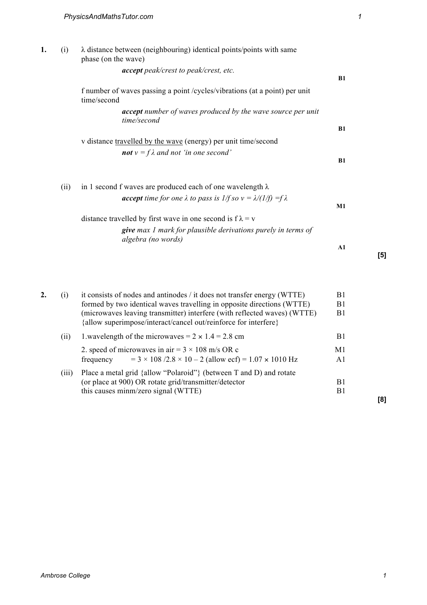| 1. | (i)  | $\lambda$ distance between (neighbouring) identical points/points with same<br>phase (on the wave) |    |
|----|------|----------------------------------------------------------------------------------------------------|----|
|    |      | <b>accept</b> peak/crest to peak/crest, etc.                                                       | B1 |
|    |      | f number of waves passing a point / cycles/vibrations (at a point) per unit<br>time/second         |    |
|    |      | <b>accept</b> number of waves produced by the wave source per unit<br>time/second                  |    |
|    |      |                                                                                                    | B1 |
|    |      | v distance travelled by the wave (energy) per unit time/second                                     |    |
|    |      | <b>not</b> $v = f\lambda$ and not 'in one second'                                                  | B1 |
|    | (ii) | in 1 second f waves are produced each of one wavelength $\lambda$                                  |    |
|    |      | <b>accept</b> time for one $\lambda$ to pass is $1/f$ so $v = \lambda/(1/f) = f\lambda$            | M1 |
|    |      | distance travelled by first wave in one second is $f \lambda = v$                                  |    |
|    |      | <b>give</b> max 1 mark for plausible derivations purely in terms of<br>algebra (no words)          |    |
|    |      |                                                                                                    | A1 |
|    |      |                                                                                                    |    |

| 2. | (i)   | it consists of nodes and antinodes / it does not transfer energy (WTTE)<br>formed by two identical waves travelling in opposite directions (WTTE) | B1<br>B1 |
|----|-------|---------------------------------------------------------------------------------------------------------------------------------------------------|----------|
|    |       | (microwaves leaving transmitter) interfere (with reflected waves) (WTTE)<br>{allow superimpose/interact/cancel out/reinforce for interfere}       | B1       |
|    | (11)  | 1.wavelength of the microwaves = $2 \times 1.4 = 2.8$ cm                                                                                          | B1       |
|    |       | 2. speed of microwaves in air = $3 \times 108$ m/s OR c                                                                                           | M1       |
|    |       | frequency = $3 \times 108 / 2.8 \times 10 - 2$ (allow ecf) = $1.07 \times 1010$ Hz                                                                | A1       |
|    | (111) | Place a metal grid {allow "Polaroid"} (between T and D) and rotate                                                                                |          |
|    |       | (or place at 900) OR rotate grid/transmitter/detector<br>this causes minm/zero signal (WTTE)                                                      | B1<br>B1 |
|    |       |                                                                                                                                                   |          |

**[8]**

**[5]**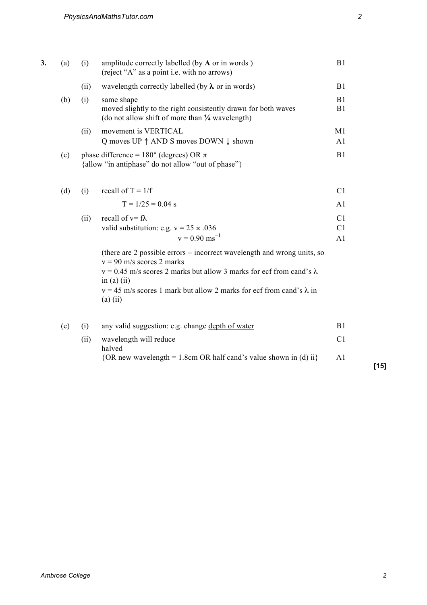| 3. | (a) | (i)  | amplitude correctly labelled (by A or in words)<br>(reject "A" as a point i.e. with no arrows)                                                                                                           | B1                               |
|----|-----|------|----------------------------------------------------------------------------------------------------------------------------------------------------------------------------------------------------------|----------------------------------|
|    |     | (ii) | wavelength correctly labelled (by $\lambda$ or in words)                                                                                                                                                 | B1                               |
|    | (b) | (i)  | same shape<br>moved slightly to the right consistently drawn for both waves<br>(do not allow shift of more than 1/4 wavelength)                                                                          | B1<br>B1                         |
|    |     | (ii) | movement is VERTICAL<br>Q moves UP $\uparrow$ AND S moves DOWN $\downarrow$ shown                                                                                                                        | M <sub>1</sub><br>A <sub>1</sub> |
|    | (c) |      | phase difference = $180^{\circ}$ (degrees) OR $\pi$<br>{allow "in antiphase" do not allow "out of phase"}                                                                                                | B1                               |
|    | (d) | (i)  | recall of $T = 1/f$                                                                                                                                                                                      | C <sub>1</sub>                   |
|    |     |      | $T = 1/25 = 0.04$ s                                                                                                                                                                                      | A <sub>1</sub>                   |
|    |     | (ii) | recall of $v = f\lambda$                                                                                                                                                                                 | C <sub>1</sub>                   |
|    |     |      | valid substitution: e.g. $v = 25 \times .036$                                                                                                                                                            | C <sub>1</sub>                   |
|    |     |      | $v = 0.90$ ms <sup>-1</sup>                                                                                                                                                                              | A1                               |
|    |     |      | (there are 2 possible errors – incorrect wavelength and wrong units, so<br>$v = 90$ m/s scores 2 marks<br>$v = 0.45$ m/s scores 2 marks but allow 3 marks for ecf from cand's $\lambda$<br>in $(a)$ (ii) |                                  |
|    |     |      | $v = 45$ m/s scores 1 mark but allow 2 marks for ecf from cand's $\lambda$ in<br>$(a)$ (ii)                                                                                                              |                                  |
|    | (e) | (i)  | any valid suggestion: e.g. change depth of water                                                                                                                                                         | B1                               |
|    |     | (ii) | wavelength will reduce<br>halved                                                                                                                                                                         | C <sub>1</sub>                   |
|    |     |      | ${OR new wavelength = 1.8cm OR half cand's value shown in (d) ii}$                                                                                                                                       | A <sub>1</sub>                   |

**[15]**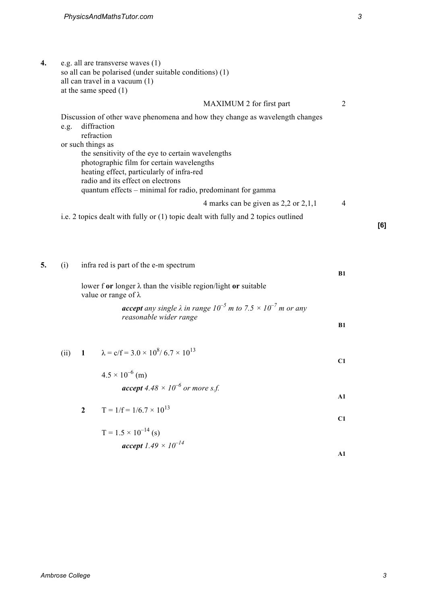**4.** e.g. all are transverse waves (1) so all can be polarised (under suitable conditions) (1) all can travel in a vacuum  $(1)$ at the same speed (1)

|                   | MAXIMUM 2 for first part                                                           |   |  |
|-------------------|------------------------------------------------------------------------------------|---|--|
|                   | Discussion of other wave phenomena and how they change as wavelength changes       |   |  |
| e.g.              | diffraction                                                                        |   |  |
|                   | refraction                                                                         |   |  |
| or such things as |                                                                                    |   |  |
|                   | the sensitivity of the eye to certain wavelengths                                  |   |  |
|                   | photographic film for certain wavelengths                                          |   |  |
|                   | heating effect, particularly of infra-red                                          |   |  |
|                   | radio and its effect on electrons                                                  |   |  |
|                   | quantum effects – minimal for radio, predominant for gamma                         |   |  |
|                   | 4 marks can be given as $2,2$ or $2,1,1$                                           | 4 |  |
|                   | i.e. 2 topics dealt with fully or (1) topic dealt with fully and 2 topics outlined |   |  |

**5.** (i) infra red is part of the e-m spectrum **B1** lower f **or** longer λ than the visible region/light **or** suitable value or range of λ *accept any single*  $\lambda$  *in range*  $10^{-5}$  *m to*  $7.5 \times 10^{-7}$  *m or any reasonable wider range* **B1** (ii) **1**  $\lambda = c/f = 3.0 \times 10^8 / 6.7 \times 10^{13}$ **C1**

> $4.5 \times 10^{-6}$  (m) *accept*  $4.48 \times 10^{-6}$  *or more s.f.* **A1**

2 
$$
T = 1/f = 1/6.7 \times 10^{13}
$$
 C1

$$
T = 1.5 \times 10^{-14} \text{ (s)}
$$
  
**accept** 1.49 × 10<sup>-14</sup>

**[6]**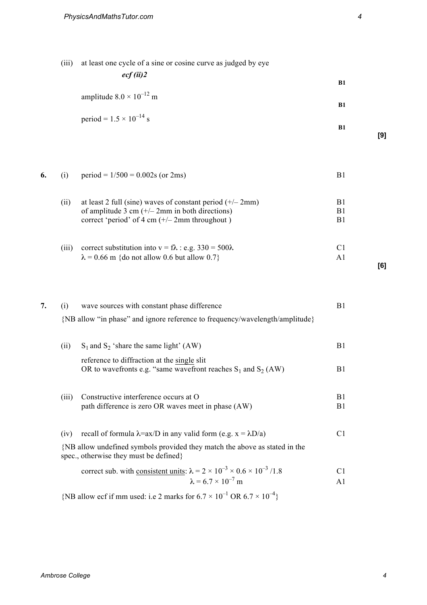(iii) at least one cycle of a sine or cosine curve as judged by eye

*ecf (ii)2*

amplitude  $8.0 \times 10^{-12}$  m

|    |       | period = $1.5 \times 10^{-14}$ s                                                                                                                                     | B1                               |
|----|-------|----------------------------------------------------------------------------------------------------------------------------------------------------------------------|----------------------------------|
| 6. | (i)   | $period = 1/500 = 0.002s$ (or 2ms)                                                                                                                                   | B1                               |
|    |       |                                                                                                                                                                      |                                  |
|    | (ii)  | at least 2 full (sine) waves of constant period $(+/- 2mm)$<br>of amplitude 3 cm $(+/- 2$ mm in both directions)<br>correct 'period' of 4 cm $(+/- 2$ mm throughout) | B <sub>1</sub><br>B1<br>B1       |
|    | (iii) | correct substitution into $v = f\lambda$ : e.g. 330 = 500 $\lambda$<br>$\lambda$ = 0.66 m {do not allow 0.6 but allow 0.7}                                           | C <sub>1</sub><br>A <sub>1</sub> |
| 7. | (i)   | wave sources with constant phase difference<br>{NB allow "in phase" and ignore reference to frequency/wavelength/amplitude}                                          | B1                               |
|    | (ii)  | $S_1$ and $S_2$ 'share the same light' (AW)                                                                                                                          | B1                               |
|    |       | reference to diffraction at the single slit<br>OR to wavefronts e.g. "same wavefront reaches $S_1$ and $S_2$ (AW)                                                    | B1                               |
|    | (iii) | Constructive interference occurs at O<br>path difference is zero OR waves meet in phase (AW)                                                                         | B1<br>B1                         |
|    | (iv)  | recall of formula $\lambda = ax/D$ in any valid form (e.g. $x = \lambda D/a$ )                                                                                       | C <sub>1</sub>                   |
|    |       | {NB allow undefined symbols provided they match the above as stated in the<br>spec., otherwise they must be defined}                                                 |                                  |
|    |       | correct sub. with consistent units: $\lambda = 2 \times 10^{-3} \times 0.6 \times 10^{-3} / 1.8$<br>$\lambda = 6.7 \times 10^{-7}$ m                                 | C <sub>1</sub><br>A <sub>1</sub> |
|    |       | {NB allow ecf if mm used: i.e 2 marks for $6.7 \times 10^{-1}$ OR $6.7 \times 10^{-4}$ }                                                                             |                                  |

**[9]**

**[6]**

**B1**

**B1**